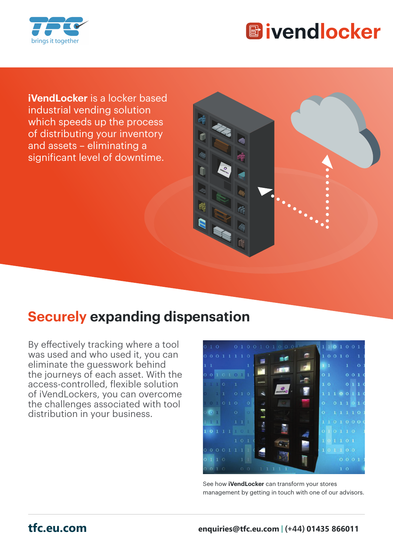



**iVendLocker** is a locker based industrial vending solution which speeds up the process of distributing your inventory and assets – eliminating a significant level of downtime.

## **Securely expanding dispensation**

By effectively tracking where a tool was used and who used it, you can eliminate the guesswork behind the journeys of each asset. With the access-controlled, flexible solution of iVendLockers, you can overcome the challenges associated with tool distribution in your business.



See how **iVendLocker** can transform your stores management by getting in touch with one of our advisors.